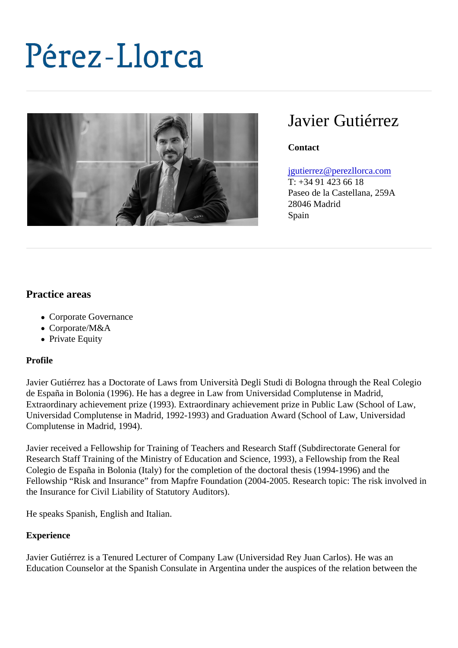# Javier Gutiérrez

**Contact** 

### [jgutierrez@perezllorca.co](mailto:jgutierrez@perezllorca.com)m

T: +34 91 423 66 18 Paseo de la Castellana, 259A 28046 Madrid Spain

## Practice areas

- Corporate Governance
- Corporate/M&A
- Private Equity

#### Profile

Javier Gutiérrez has a Doctorate of Laws from Università Degli Studi di Bologna through the Real Colegio de España in Bolonia (1996). He has a degree in Law from Universidad Complutense in Madrid, Extraordinary achievement prize (1993). Extraordinary achievement prize in Public Law (School of Law, Universidad Complutense in Madrid, 1992-1993) and Graduation Award (School of Law, Universidad Complutense in Madrid, 1994).

Javier received a Fellowship for Training of Teachers and Research Staff (Subdirectorate General for Research Staff Training of the Ministry of Education and Science, 1993), a Fellowship from the Real Colegio de España in Bolonia (Italy) for the completion of the doctoral thesis (1994-1996) and the Fellowship "Risk and Insurance" from Mapfre Foundation (2004-2005. Research topic: The risk involved in the Insurance for Civil Liability of Statutory Auditors).

He speaks Spanish, English and Italian.

#### **Experience**

Javier Gutiérrez is a Tenured Lecturer of Company Law (Universidad Rey Juan Carlos). He was an Education Counselor at the Spanish Consulate in Argentina under the auspices of the relation between the